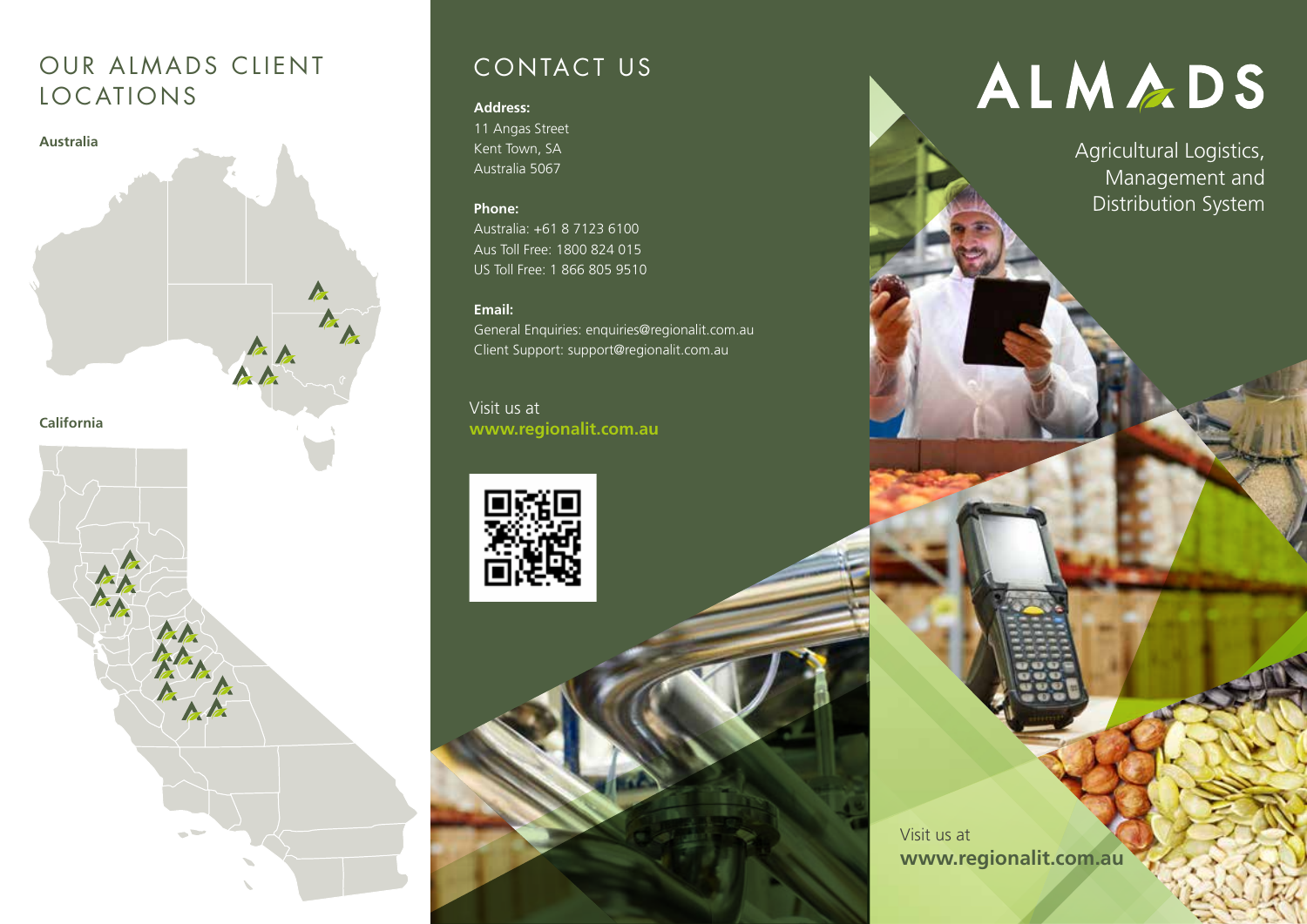## OUR ALMADS CLIENT LOCATIONS



## CONTACT US

#### **Address:**

11 Angas Street Kent Town, SA Australia 5067

#### **Phone:**

Australia: +61 8 7123 6100 Aus Toll Free: 1800 824 015 US Toll Free: 1 866 805 9510

### **Email:**

General Enquiries: enquiries@regionalit.com.au Client Support: support@regionalit.com.au

Visit us at **www.regionalit.com.au**



# ALMADS

Agricultural Logistics, Management and Distribution System

Visit us at **www.regionalit.com.au**